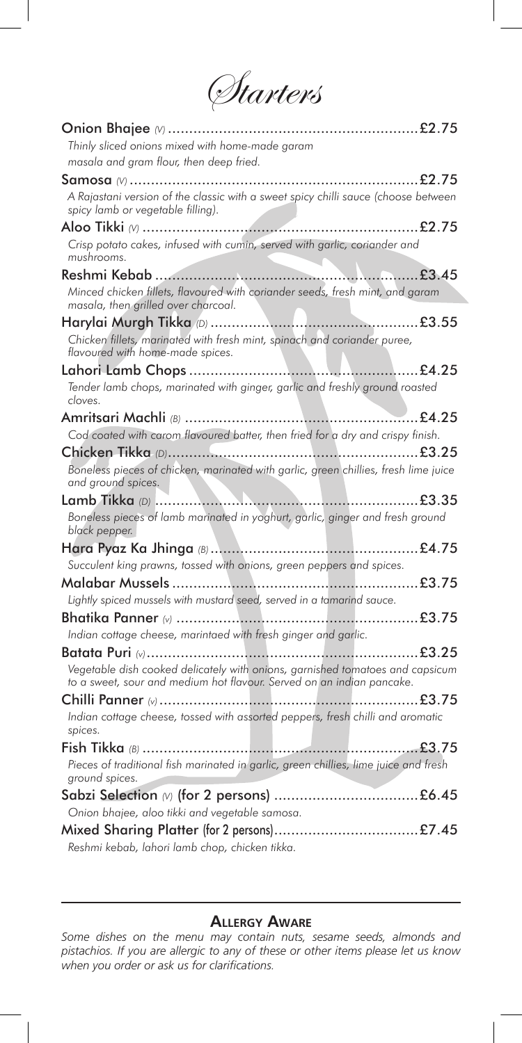*Starters* 

| Thinly sliced onions mixed with home-made garam                                                                                                        |
|--------------------------------------------------------------------------------------------------------------------------------------------------------|
| masala and gram flour, then deep fried.                                                                                                                |
|                                                                                                                                                        |
| A Rajastani version of the classic with a sweet spicy chilli sauce (choose between<br>spicy lamb or vegetable filling).                                |
|                                                                                                                                                        |
| Crisp potato cakes, infused with cumin, served with garlic, coriander and<br>mushrooms.                                                                |
|                                                                                                                                                        |
| Minced chicken fillets, flavoured with coriander seeds, fresh mint, and garam<br>masala, then grilled over charcoal.                                   |
|                                                                                                                                                        |
| Chicken fillets, marinated with fresh mint, spinach and coriander puree,<br>flavoured with home-made spices.                                           |
|                                                                                                                                                        |
| Tender lamb chops, marinated with ginger, garlic and freshly ground roasted<br>cloves.                                                                 |
|                                                                                                                                                        |
| Cod coated with carom flavoured batter, then fried for a dry and crispy finish.                                                                        |
|                                                                                                                                                        |
| Boneless pieces of chicken, marinated with garlic, green chillies, fresh lime juice<br>and ground spices.                                              |
|                                                                                                                                                        |
| Boneless pieces of lamb marinated in yoghurt, garlic, ginger and fresh ground                                                                          |
| black pepper.                                                                                                                                          |
|                                                                                                                                                        |
| Succulent king prawns, tossed with onions, green peppers and spices.                                                                                   |
|                                                                                                                                                        |
| Lightly spiced mussels with mustard seed, served in a tamarind sauce.                                                                                  |
|                                                                                                                                                        |
| Indian cottage cheese, marintaed with fresh ginger and garlic.                                                                                         |
| £3.25                                                                                                                                                  |
| Vegetable dish cooked delicately with onions, garnished tomatoes and capsicum<br>to a sweet, sour and medium hot flavour. Served on an indian pancake. |
|                                                                                                                                                        |
| Indian cottage cheese, tossed with assorted peppers, fresh chilli and aromatic<br>spices.                                                              |
|                                                                                                                                                        |
| Pieces of traditional fish marinated in garlic, green chillies, lime juice and fresh<br>ground spices.                                                 |
|                                                                                                                                                        |
| Onion bhajee, aloo tikki and vegetable samosa.                                                                                                         |

## **ALLERGY AWARE**

*Some dishes on the menu may contain nuts, sesame seeds, almonds and pistachios. If you are allergic to any of these or other items please let us know*  when you order or ask us for clarifications.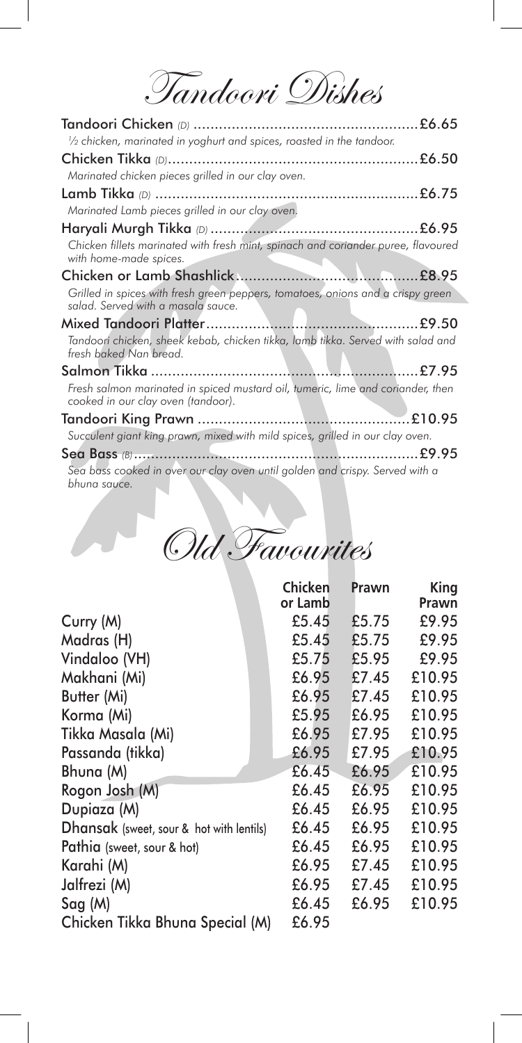Tandoori Dishes

| 1/2 chicken, marinated in yoghurt and spices, roasted in the tandoor.                                                 |
|-----------------------------------------------------------------------------------------------------------------------|
|                                                                                                                       |
| Marinated chicken pieces grilled in our clay oven.                                                                    |
|                                                                                                                       |
| Marinated Lamb pieces grilled in our clay oven.                                                                       |
|                                                                                                                       |
| Chicken fillets marinated with fresh mint, spinach and coriander puree, flavoured<br>with home-made spices.           |
|                                                                                                                       |
| Grilled in spices with fresh green peppers, tomatoes, onions and a crispy green<br>salad. Served with a masala sauce. |
|                                                                                                                       |
| Tandoori chicken, sheek kebab, chicken tikka, lamb tikka. Served with salad and<br>fresh baked Nan bread.             |
|                                                                                                                       |
| Fresh salmon marinated in spiced mustard oil, tumeric, lime and coriander, then<br>cooked in our clay oven (tandoor). |
|                                                                                                                       |
| Succulent giant king prawn, mixed with mild spices, grilled in our clay oven.                                         |
|                                                                                                                       |
| Sea bass cooked in over our clay oven until golden and crispy. Served with a                                          |

*bhuna sauce.*

| Old Favourites |  |
|----------------|--|
|                |  |

|                                          | <b>Chicken</b><br>or Lamb | Prawn | King<br>Prawn |
|------------------------------------------|---------------------------|-------|---------------|
| Curry (M)                                | £5.45                     | £5.75 | £9.95         |
| Madras (H)                               | £5.45                     | £5.75 | £9.95         |
| Vindaloo (VH)                            | £5.75                     | £5.95 | £9.95         |
| Makhani (Mi)                             | £6.95                     | £7.45 | £10.95        |
| Butter (Mi)                              | £6.95                     | £7.45 | £10.95        |
| Korma (Mi)                               | £5.95                     | £6.95 | £10.95        |
| Tikka Masala (Mi)                        | £6.95                     | £7.95 | £10.95        |
| Passanda (tikka)                         | £6.95                     | £7.95 | £10.95        |
| Bhuna (M)                                | £6.45                     | £6.95 | £10.95        |
| Rogon Josh (M)                           | £6.45                     | £6.95 | £10.95        |
| Dupiaza (M)                              | £6.45                     | £6.95 | £10.95        |
| Dhansak (sweet, sour & hot with lentils) | £6.45                     | £6.95 | £10.95        |
| Pathia (sweet, sour & hot)               | £6.45                     | £6.95 | £10.95        |
| Karahi (M)                               | £6.95                     | £7.45 | £10.95        |
| Jalfrezi (M)                             | £6.95                     | £7.45 | £10.95        |
| Sag(M)                                   | £6.45                     | £6.95 | £10.95        |
| Chicken Tikka Bhuna Special (M)          | £6.95                     |       |               |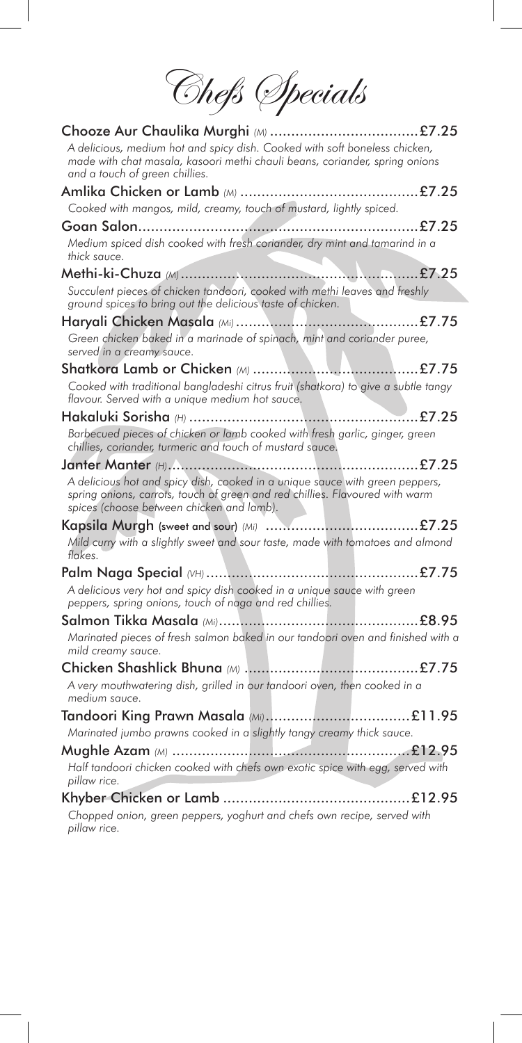Chefs Specials

| A delicious, medium hot and spicy dish. Cooked with soft boneless chicken,<br>made with chat masala, kasoori methi chauli beans, coriander, spring onions<br>and a touch of green chillies.               |  |
|-----------------------------------------------------------------------------------------------------------------------------------------------------------------------------------------------------------|--|
|                                                                                                                                                                                                           |  |
| Cooked with mangos, mild, creamy, touch of mustard, lightly spiced.                                                                                                                                       |  |
|                                                                                                                                                                                                           |  |
| Medium spiced dish cooked with fresh coriander, dry mint and tamarind in a<br>thick sauce.                                                                                                                |  |
|                                                                                                                                                                                                           |  |
| Succulent pieces of chicken tandoori, cooked with methi leaves and freshly<br>ground spices to bring out the delicious taste of chicken.                                                                  |  |
|                                                                                                                                                                                                           |  |
| Green chicken baked in a marinade of spinach, mint and coriander puree,<br>served in a creamy sauce.                                                                                                      |  |
|                                                                                                                                                                                                           |  |
| Cooked with traditional bangladeshi citrus fruit (shatkora) to give a subtle tangy<br>flavour. Served with a unique medium hot sauce.                                                                     |  |
|                                                                                                                                                                                                           |  |
| Barbecued pieces of chicken or lamb cooked with fresh garlic, ginger, green<br>chillies, coriander, turmeric and touch of mustard sauce.                                                                  |  |
|                                                                                                                                                                                                           |  |
| A delicious hot and spicy dish, cooked in a unique sauce with green peppers,<br>spring onions, carrots, touch of green and red chillies. Flavoured with warm<br>spices (choose between chicken and lamb). |  |
|                                                                                                                                                                                                           |  |
| Mild curry with a slightly sweet and sour taste, made with tomatoes and almond<br>flakes.                                                                                                                 |  |
|                                                                                                                                                                                                           |  |
| A delicious very hot and spicy dish cooked in a unique sauce with green<br>peppers, spring onions, touch of naga and red chillies.                                                                        |  |
|                                                                                                                                                                                                           |  |
| Marinated pieces of fresh salmon baked in our tandoori oven and finished with a<br>mild creamy sauce.                                                                                                     |  |
|                                                                                                                                                                                                           |  |
| A very mouthwatering dish, grilled in our tandoori oven, then cooked in a<br>medium sauce.                                                                                                                |  |
|                                                                                                                                                                                                           |  |
| Marinated jumbo prawns cooked in a slightly tangy creamy thick sauce.                                                                                                                                     |  |
| Half tandoori chicken cooked with chefs own exotic spice with egg, served with<br>pillaw rice.                                                                                                            |  |
|                                                                                                                                                                                                           |  |
| Chopped onion, green peppers, yoghurt and chefs own recipe, served with<br>pillaw rice.                                                                                                                   |  |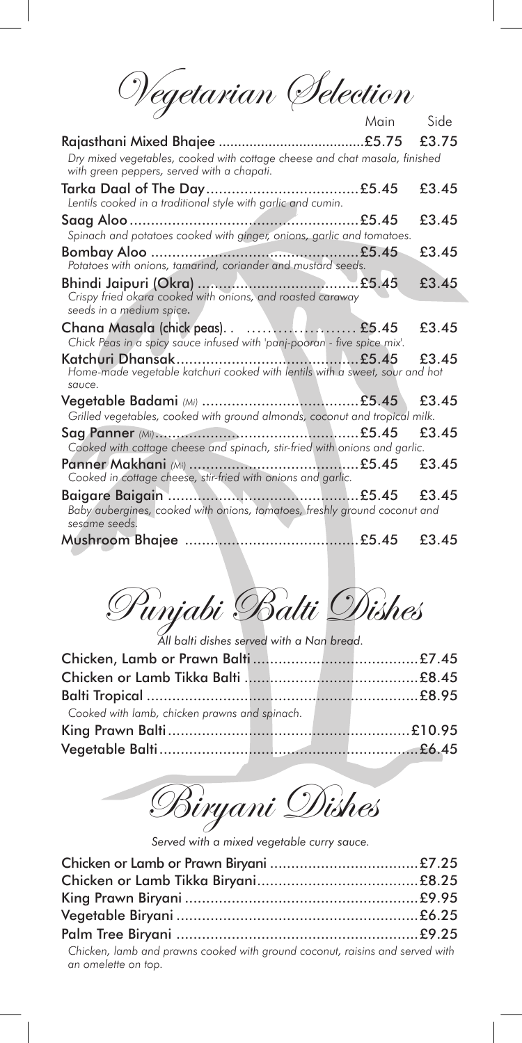Wegetarian Selection

|                                                                                                                          | Main | <b>Side</b> |
|--------------------------------------------------------------------------------------------------------------------------|------|-------------|
|                                                                                                                          |      |             |
| Dry mixed vegetables, cooked with cottage cheese and chat masala, finished<br>with green peppers, served with a chapati. |      |             |
| Lentils cooked in a traditional style with garlic and cumin.                                                             |      | £3.45       |
| Spinach and potatoes cooked with ginger, onions, garlic and tomatoes.                                                    |      | £3.45       |
| Potatoes with onions, tamarind, coriander and mustard seeds.                                                             |      | £3.45       |
| Crispy fried okara cooked with onions, and roasted caraway                                                               |      | £3.45       |
| seeds in a medium spice.                                                                                                 |      |             |
| Chick Peas in a spicy sauce infused with 'panj-pooran - five spice mix'.                                                 |      | £3.45       |
| Home-made vegetable katchuri cooked with lentils with a sweet, sour and hot<br>sauce.                                    |      | £3.45       |
| Grilled vegetables, cooked with ground almonds, coconut and tropical milk.                                               |      | £3.45       |
| Cooked with cottage cheese and spinach, stir-fried with onions and garlic.                                               |      | £3.45       |
| Cooked in cottage cheese, stir-fried with onions and garlic.                                                             |      | £3.45       |
| Baby aubergines, cooked with onions, tomatoes, freshly ground coconut and<br>sesame seeds.                               |      |             |
|                                                                                                                          |      | £3.45       |

Punjabi Balti Dishes

*All balti dishes served with a Nan bread.*

| Cooked with lamb, chicken prawns and spinach. |  |  |
|-----------------------------------------------|--|--|
|                                               |  |  |
|                                               |  |  |
|                                               |  |  |

Biryani Dishes

*Served with a mixed vegetable curry sauce.*

| Chicken, lamb and prawns cooked with ground coconut, raisins and served with<br>an omelette on top. |  |
|-----------------------------------------------------------------------------------------------------|--|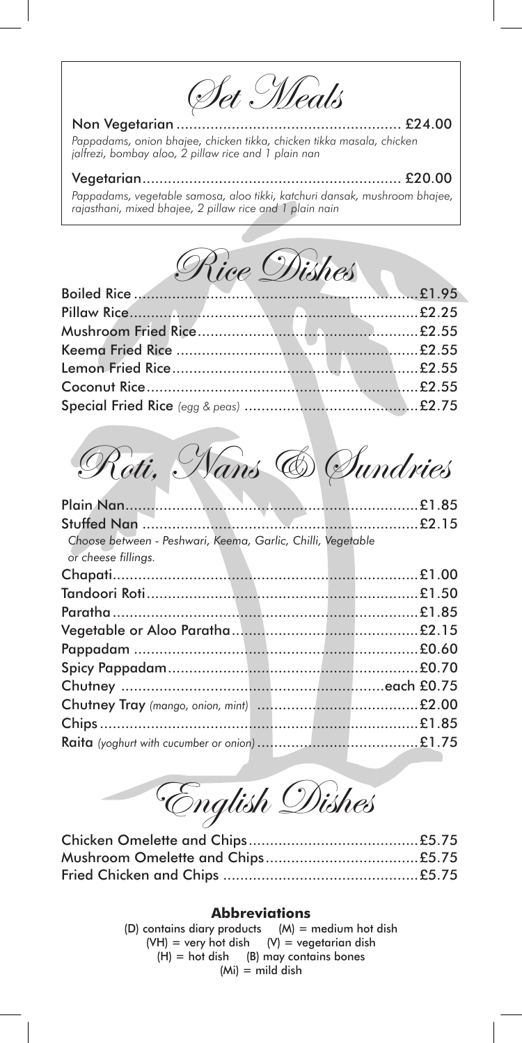Set Meals

Non Vegetarian ..................................................... £24.00 *Pappadams, onion bhajee, chicken tikka, chicken tikka masala, chicken jalfrezi, bombay aloo, 2 pillaw rice and 1 plain nan*

Vegetarian............................................................. £20.00 *Pappadams, vegetable samosa, aloo tikki, katchuri dansak, mushroom bhajee, rajasthani, mixed bhajee, 2 pillaw rice and 1 plain nain*

Rice Dishes

Roti, Nans & Sundries

| Choose between - Peshwari, Keema, Garlic, Chilli, Vegetable<br>or cheese fillings. |  |
|------------------------------------------------------------------------------------|--|
|                                                                                    |  |
|                                                                                    |  |
|                                                                                    |  |
|                                                                                    |  |
|                                                                                    |  |
|                                                                                    |  |
|                                                                                    |  |
|                                                                                    |  |
|                                                                                    |  |
|                                                                                    |  |
|                                                                                    |  |

English Dishes

Chicken Omelette and Chips........................................£5.75 Mushroom Omelette and Chips....................................£5.75 Fried Chicken and Chips ..............................................£5.75

## **Abbreviations**

(D) contains diary products  $(M)$  = medium hot dish  $(VH)$  = very hot dish  $(V)$  = vegetarian dish  $(H) =$  hot dish (B) may contains bones  $(Mi) =$  mild dish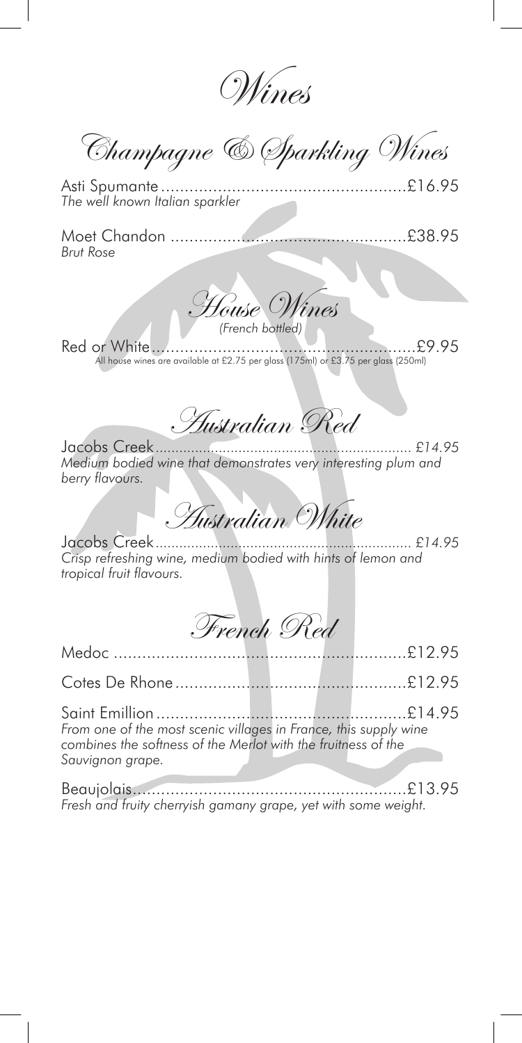Wines

Champagne & Sparkling Wines

Asti Spumante ....................................................£16.95 *The well known Italian sparkler*

Moet Chandon ..................................................£38.95 *Brut Rose*



Red or White........................................................£9.95 All house wines are available at £2.75 per glass (175ml) or £3.75 per glass (250ml)

Australian Red

Jacobs Creek *................................................................. £14.95 Medium bodied wine that demonstrates very interesting plum and berry fl avours.*

Australian White

Jacobs Creek *................................................................. £14.95 Crisp refreshing wine, medium bodied with hints of lemon and tropical fruit flavours.* 

French Red

Medoc ..............................................................£12.95 Cotes De Rhone.................................................£12.95 Saint Emillion .....................................................£14.95 *From one of the most scenic villages in France, this supply wine combines the softness of the Merlot with the fruitness of the Sauvignon grape.*

Beaujolais..........................................................£13.95 *Fresh and fruity cherryish gamany grape, yet with some weight.*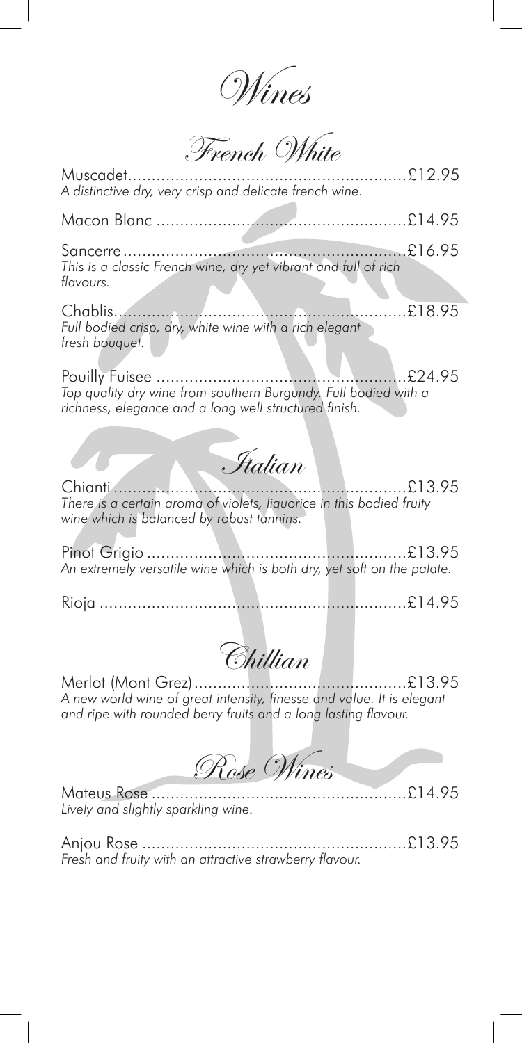Wines

French White

| Muscadet<br>A distinctive dry, very crisp and delicate french wine.                                                                                           |
|---------------------------------------------------------------------------------------------------------------------------------------------------------------|
|                                                                                                                                                               |
| This is a classic French wine, dry yet vibrant and full of rich<br>flavours.                                                                                  |
| $\ldots$ $£18.95$<br>Chablis<br>Full bodied crisp, dry, white wine with a rich elegant<br>fresh bouquet.                                                      |
| £24.95<br>Top quality dry wine from southern Burgundy. Full bodied with a<br>richness, elegance and a long well structured finish.                            |
| Ftalian                                                                                                                                                       |
| $\ldots$ £13.95<br>Chianti<br>There is a certain aroma of violets, liquorice in this bodied fruity<br>wine which is balanced by robust tannins.               |
| An extremely versatile wine which is both dry, yet soft on the palate.                                                                                        |
|                                                                                                                                                               |
| Chillian                                                                                                                                                      |
| Merlot (Mont Grez)<br>A new world wine of great intensity, finesse and value. It is elegant<br>and ripe with rounded berry fruits and a long lasting flavour. |
| Rose Wines                                                                                                                                                    |

Mateus Rose ......................................................£14.95 *Lively and slightly sparkling wine.*

Anjou Rose ........................................................£13.95 *Fresh and fruity with an attractive strawberry fl avour.*